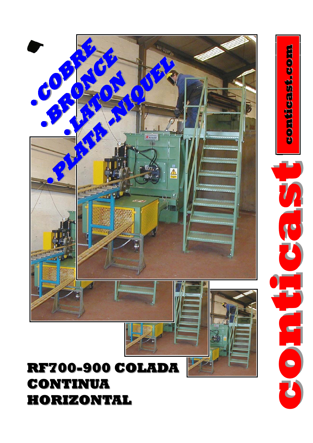## **RF700-900 COLADA 900 COLADA CONTINUA CONTINUA HORIZONTAL HORIZONTAL**



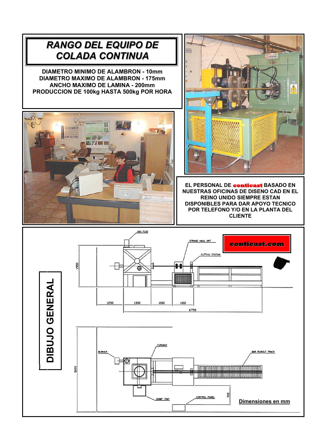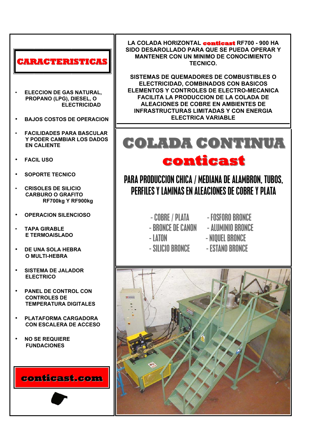## RACTERISTICA!

- **ELECCION DE GAS NATURAL.** PROPANO (LPG), DIESEL, O **ELECTRICIDAD**
- **BAJOS COSTOS DE OPERACION**
- **FACILIDADES PARA BASCULAR** Y PODER CAMBIAR LOS DADOS **EN CALIENTE**
- **FACIL USO**
- **SOPORTE TECNICO**
- CRISOLES DE SILICIO **CARBURO O GRAFITO** RF700kg Y RF900kg
- **OPERACION SILENCIOSO**
- **TAPA GIRARI F** E TERMOAISLADO
- **DE UNA SOLA HEBRA** O MULTI-HEBRA
- **SISTEMA DE JALADOR ELECTRICO**
- **PANEL DE CONTROL CON** CONTROLES DE **TEMPERATURA DIGITALES**
- PLATAFORMA CARGADORA **CON ESCALERA DE ACCESO**
- **NO SE REQUIERE FUNDACIONES**

conticast.com

LA COLADA HORIZONTAL conticast RF700 - 900 HA SIDO DESAROLLADO PARA QUE SE PUEDA OPERAR Y **MANTENER CON UN MINIMO DE CONOCIMIENTO** TECNICO.

SISTEMAS DE QUEMADORES DE COMBUSTIBLES O ELECTRICIDAD, COMBINADOS CON BASICOS ELEMENTOS Y CONTROLES DE ELECTRO-MECANICA **FACILITA LA PRODUCCION DE LA COLADA DE ALEACIONES DE COBRE EN AMBIENTES DE INFRASTRUCTURAS LIMITADAS Y CON ENERGIA ELECTRICA VARIABLE** 

## BOLADA GONTINUA conticast

## PARA PRODUCCION CHICA / MEDIANA DE ALAMBRON, TUBOS, PERFILES Y LAMINAS EN ALEACIONES DE COBRE Y PLATA

- COBRE / PLATA - FOSFORO BRONCE

- RRONCE DE CANON AIIIMINIO BRONCE
- LATON
	-
- SILICIO BRONCE
- 
- 
- NIOUEL BRONCE
- **ESTANO BRONCE**